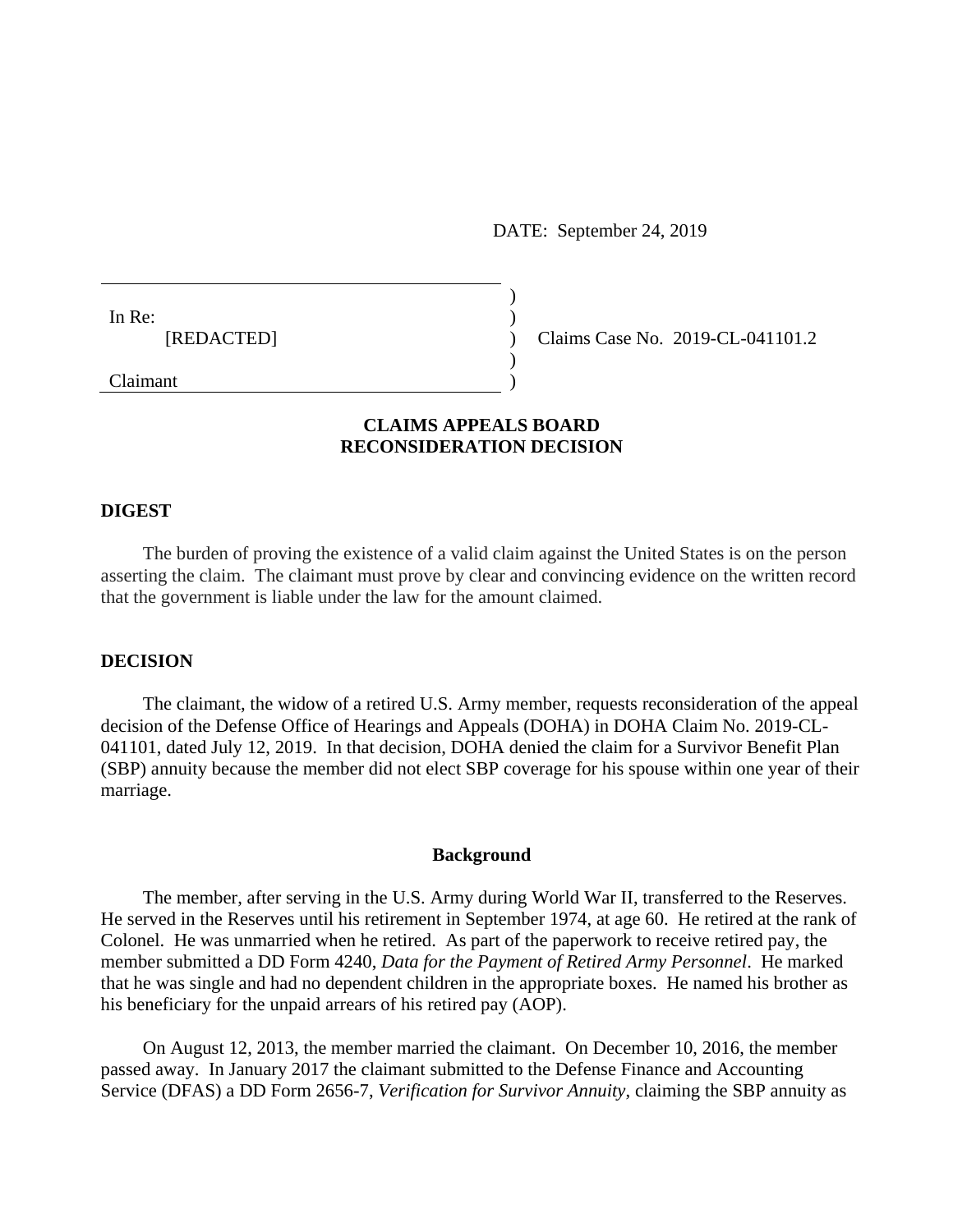DATE: September 24, 2019

In Re: [REDACTED]

Claims Case No. 2019-CL-041101.2

Claimant

# **CLAIMS APPEALS BOARD RECONSIDERATION DECISION**

) ) ) ) )

#### **DIGEST**

The burden of proving the existence of a valid claim against the United States is on the person asserting the claim. The claimant must prove by clear and convincing evidence on the written record that the government is liable under the law for the amount claimed.

## **DECISION**

The claimant, the widow of a retired U.S. Army member, requests reconsideration of the appeal decision of the Defense Office of Hearings and Appeals (DOHA) in DOHA Claim No. 2019-CL-041101, dated July 12, 2019. In that decision, DOHA denied the claim for a Survivor Benefit Plan (SBP) annuity because the member did not elect SBP coverage for his spouse within one year of their marriage.

#### **Background**

The member, after serving in the U.S. Army during World War II, transferred to the Reserves. He served in the Reserves until his retirement in September 1974, at age 60. He retired at the rank of Colonel. He was unmarried when he retired. As part of the paperwork to receive retired pay, the member submitted a DD Form 4240, *Data for the Payment of Retired Army Personnel*. He marked that he was single and had no dependent children in the appropriate boxes. He named his brother as his beneficiary for the unpaid arrears of his retired pay (AOP).

On August 12, 2013, the member married the claimant. On December 10, 2016, the member passed away. In January 2017 the claimant submitted to the Defense Finance and Accounting Service (DFAS) a DD Form 2656-7, *Verification for Survivor Annuity*, claiming the SBP annuity as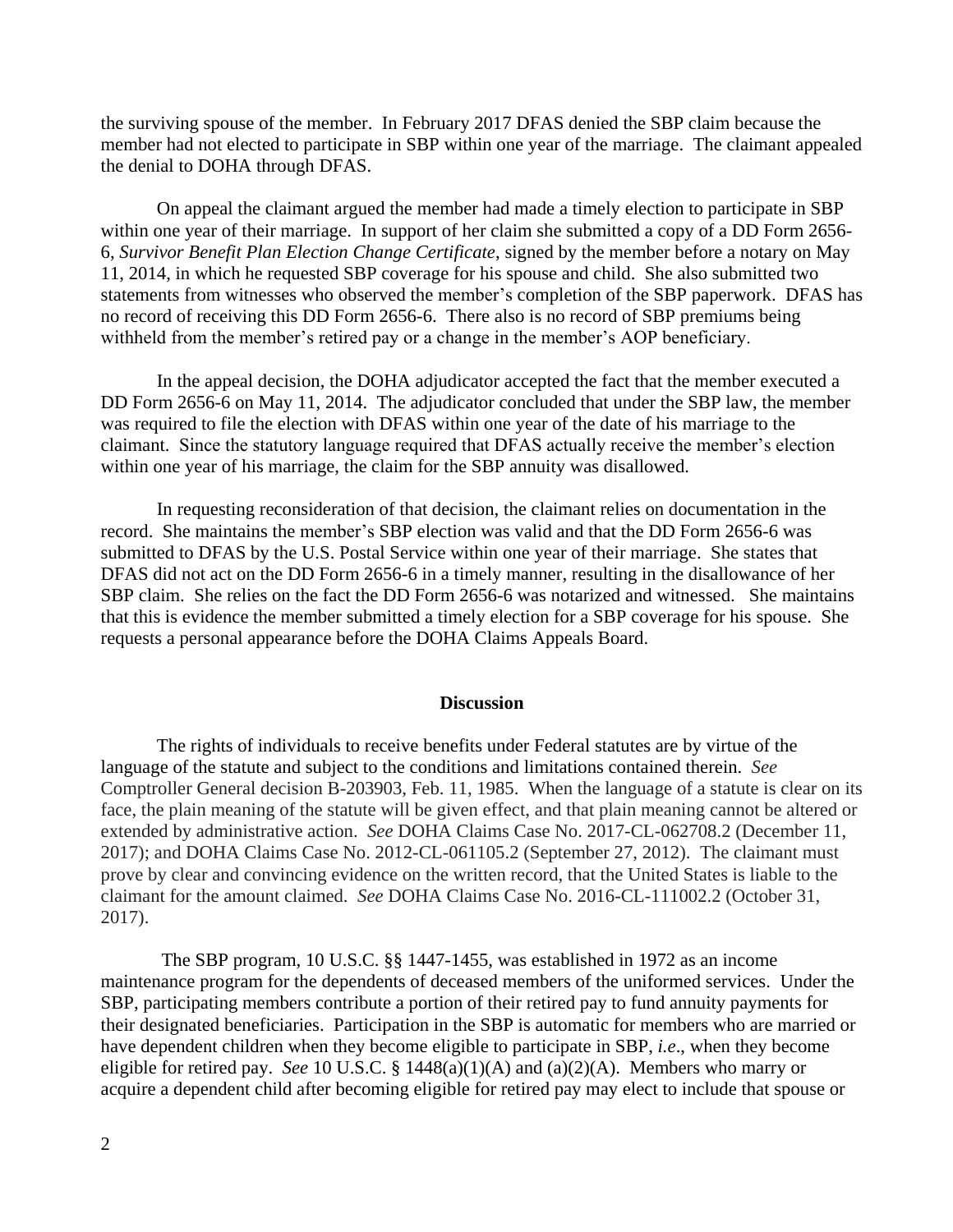the surviving spouse of the member. In February 2017 DFAS denied the SBP claim because the member had not elected to participate in SBP within one year of the marriage. The claimant appealed the denial to DOHA through DFAS.

On appeal the claimant argued the member had made a timely election to participate in SBP within one year of their marriage. In support of her claim she submitted a copy of a DD Form 2656- 6, *Survivor Benefit Plan Election Change Certificate*, signed by the member before a notary on May 11, 2014, in which he requested SBP coverage for his spouse and child. She also submitted two statements from witnesses who observed the member's completion of the SBP paperwork. DFAS has no record of receiving this DD Form 2656-6. There also is no record of SBP premiums being withheld from the member's retired pay or a change in the member's AOP beneficiary.

In the appeal decision, the DOHA adjudicator accepted the fact that the member executed a DD Form 2656-6 on May 11, 2014. The adjudicator concluded that under the SBP law, the member was required to file the election with DFAS within one year of the date of his marriage to the claimant. Since the statutory language required that DFAS actually receive the member's election within one year of his marriage, the claim for the SBP annuity was disallowed.

In requesting reconsideration of that decision, the claimant relies on documentation in the record. She maintains the member's SBP election was valid and that the DD Form 2656-6 was submitted to DFAS by the U.S. Postal Service within one year of their marriage. She states that DFAS did not act on the DD Form 2656-6 in a timely manner, resulting in the disallowance of her SBP claim. She relies on the fact the DD Form 2656-6 was notarized and witnessed. She maintains that this is evidence the member submitted a timely election for a SBP coverage for his spouse. She requests a personal appearance before the DOHA Claims Appeals Board.

## **Discussion**

The rights of individuals to receive benefits under Federal statutes are by virtue of the language of the statute and subject to the conditions and limitations contained therein. *See* Comptroller General decision B-203903, Feb. 11, 1985. When the language of a statute is clear on its face, the plain meaning of the statute will be given effect, and that plain meaning cannot be altered or extended by administrative action. *See* DOHA Claims Case No. 2017-CL-062708.2 (December 11, 2017); and DOHA Claims Case No. 2012-CL-061105.2 (September 27, 2012). The claimant must prove by clear and convincing evidence on the written record, that the United States is liable to the claimant for the amount claimed. *See* DOHA Claims Case No. 2016-CL-111002.2 (October 31, 2017).

 The SBP program, 10 U.S.C. §§ 1447-1455, was established in 1972 as an income maintenance program for the dependents of deceased members of the uniformed services. Under the SBP, participating members contribute a portion of their retired pay to fund annuity payments for their designated beneficiaries. Participation in the SBP is automatic for members who are married or have dependent children when they become eligible to participate in SBP, *i.e*., when they become eligible for retired pay. *See* 10 U.S.C. § 1448(a)(1)(A) and (a)(2)(A). Members who marry or acquire a dependent child after becoming eligible for retired pay may elect to include that spouse or